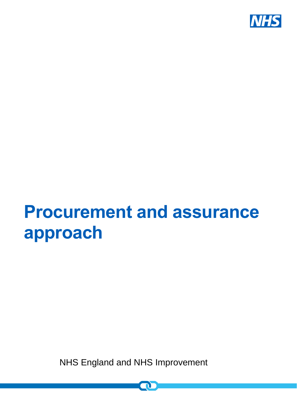

# **Procurement and assurance approach**

NHS England and NHS Improvement

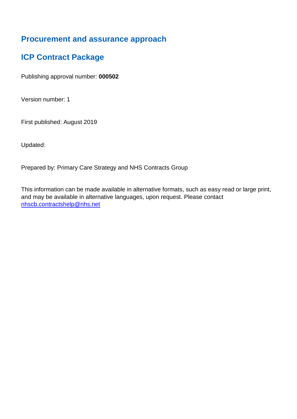# **Procurement and assurance approach**

# **ICP Contract Package**

Publishing approval number: **000502**

Version number: 1

First published: August 2019

Updated:

Prepared by: Primary Care Strategy and NHS Contracts Group

This information can be made available in alternative formats, such as easy read or large print, and may be available in alternative languages, upon request. Please contact [nhscb.contractshelp@nhs.net](mailto:nhscb.contractshelp@nhs.net)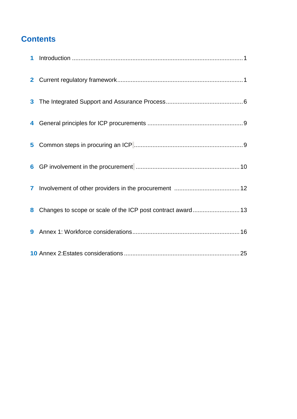# <span id="page-2-0"></span>**Contents**

| 8 | Changes to scope or scale of the ICP post contract award 13 |
|---|-------------------------------------------------------------|
|   |                                                             |
|   |                                                             |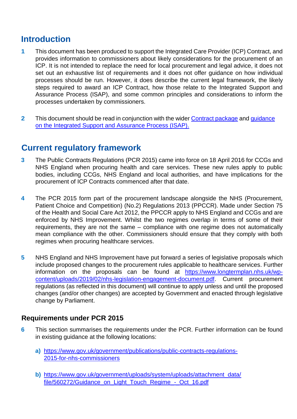# **Introduction**

- **1** This document has been produced to support the Integrated Care Provider (ICP) Contract, and provides information to commissioners about likely considerations for the procurement of an ICP. It is not intended to replace the need for local procurement and legal advice, it does not set out an exhaustive list of requirements and it does not offer guidance on how individual processes should be run. However, it does describe the current legal framework, the likely steps required to award an ICP Contract, how those relate to the Integrated Support and Assurance Process (ISAP), and some common principles and considerations to inform the processes undertaken by commissioners.
- **2** This document should be read in conjunction with the wider [Contract package](https://www.england.nhs.uk/nhs-standard-contract/icp-contract-publications/) and [guidance](https://www.england.nhs.uk/publication/integrated-support-and-assurance-process/)  on the Integrated [Support and Assurance Process \(ISAP\).](https://www.england.nhs.uk/publication/integrated-support-and-assurance-process/)

# **Current regulatory framework**

- **3** The Public Contracts Regulations (PCR 2015) came into force on 18 April 2016 for CCGs and NHS England when procuring health and care services. These new rules apply to public bodies, including CCGs, NHS England and local authorities, and have implications for the procurement of ICP Contracts commenced after that date.
- **4** The PCR 2015 form part of the procurement landscape alongside the NHS (Procurement, Patient Choice and Competition) (No.2) Regulations 2013 (PPCCR). Made under Section 75 of the Health and Social Care Act 2012, the PPCCR apply to NHS England and CCGs and are enforced by NHS Improvement. Whilst the two regimes overlap in terms of some of their requirements, they are not the same – compliance with one regime does not automatically mean compliance with the other. Commissioners should ensure that they comply with both regimes when procuring healthcare services.
- **5** NHS England and NHS Improvement have put forward a series of legislative proposals which include proposed changes to the procurement rules applicable to healthcare services. Further information on the proposals can be found at [https://www.longtermplan.nhs.uk/wp](https://www.longtermplan.nhs.uk/wp-content/uploads/2019/02/nhs-legislation-engagement-document.pdf)[content/uploads/2019/02/nhs-legislation-engagement-document.pdf.](https://www.longtermplan.nhs.uk/wp-content/uploads/2019/02/nhs-legislation-engagement-document.pdf) Current procurement regulations (as reflected in this document) will continue to apply unless and until the proposed changes (and/or other changes) are accepted by Government and enacted through legislative change by Parliament.

### **Requirements under PCR 2015**

- **6** This section summarises the requirements under the PCR. Further information can be found in existing guidance at the following locations:
	- **a)** [https://www.gov.uk/government/publications/public-contracts-regulations-](https://www.gov.uk/government/publications/public-contracts-regulations-2015-for-nhs-commissioners)[2015-for-nhs-commissioners](https://www.gov.uk/government/publications/public-contracts-regulations-2015-for-nhs-commissioners)
	- **b)** [https://www.gov.uk/government/uploads/system/uploads/attachment\\_data/](https://www.gov.uk/government/uploads/system/uploads/attachment_data/file/560272/Guidance_on_Light_Touch_Regime_-_Oct_16.pdf) [file/560272/Guidance\\_on\\_Light\\_Touch\\_Regime\\_-\\_Oct\\_16.pdf](https://www.gov.uk/government/uploads/system/uploads/attachment_data/file/560272/Guidance_on_Light_Touch_Regime_-_Oct_16.pdf)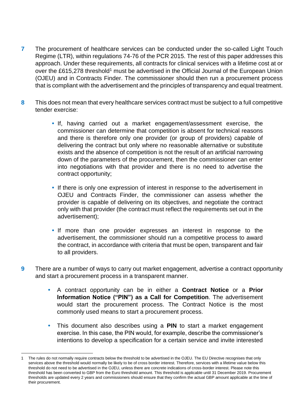- **7** The procurement of healthcare services can be conducted under the so-called Light Touch Regime (LTR), within regulations 74-76 of the PCR 2015. The rest of this paper addresses this approach. Under these requirements, all contracts for clinical services with a lifetime cost at or over the £615,278 threshold<sup>1</sup> must be advertised in the Official Journal of the European Union (OJEU) and in Contracts Finder. The commissioner should then run a procurement process that is compliant with the advertisement and the principles of transparency and equal treatment.
- **8** This does not mean that every healthcare services contract must be subject to a full competitive tender exercise:
	- **•** If, having carried out a market engagement/assessment exercise, the commissioner can determine that competition is absent for technical reasons and there is therefore only one provider (or group of providers) capable of delivering the contract but only where no reasonable alternative or substitute exists and the absence of competition is not the result of an artificial narrowing down of the parameters of the procurement, then the commissioner can enter into negotiations with that provider and there is no need to advertise the contract opportunity;
	- **•** If there is only one expression of interest in response to the advertisement in OJEU and Contracts Finder, the commissioner can assess whether the provider is capable of delivering on its objectives, and negotiate the contract only with that provider (the contract must reflect the requirements set out in the advertisement);
	- **•** If more than one provider expresses an interest in response to the advertisement, the commissioner should run a competitive process to award the contract, in accordance with criteria that must be open, transparent and fair to all providers.
- **9** There are a number of ways to carry out market engagement, advertise a contract opportunity and start a procurement process in a transparent manner.
	- **•** A contract opportunity can be in either a **Contract Notice** or a **Prior Information Notice ("PIN") as a Call for Competition**. The advertisement would start the procurement process. The Contract Notice is the most commonly used means to start a procurement process.
	- **•** This document also describes using a **PIN** to start a market engagement exercise. In this case, the PIN would, for example, describe the commissioner's intentions to develop a specification for a certain service and invite interested

l

<sup>1</sup> The rules do not normally require contracts below the threshold to be advertised in the OJEU. The EU Directive recognises that only services above the threshold would normally be likely to be of cross border interest. Therefore, services with a lifetime value below this threshold do not need to be advertised in the OJEU, unless there are concrete indications of cross-border interest. Please note this threshold has been converted to GBP from the Euro threshold amount. This threshold is applicable until 31 December 2019. Procurement thresholds are updated every 2 years and commissioners should ensure that they confirm the actual GBP amount applicable at the time of their procurement.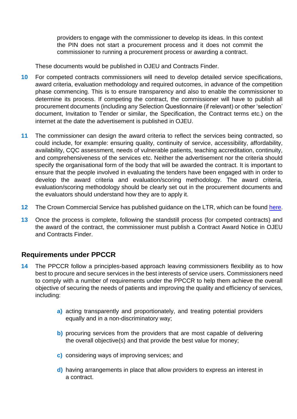providers to engage with the commissioner to develop its ideas. In this context the PIN does not start a procurement process and it does not commit the commissioner to running a procurement process or awarding a contract.

These documents would be published in OJEU and Contracts Finder.

- **10** For competed contracts commissioners will need to develop detailed service specifications, award criteria, evaluation methodology and required outcomes, in advance of the competition phase commencing. This is to ensure transparency and also to enable the commissioner to determine its process. If competing the contract, the commissioner will have to publish all procurement documents (including any Selection Questionnaire (if relevant) or other 'selection' document, Invitation to Tender or similar, the Specification, the Contract terms etc.) on the internet at the date the advertisement is published in OJEU.
- **11** The commissioner can design the award criteria to reflect the services being contracted, so could include, for example: ensuring quality, continuity of service, accessibility, affordability, availability, CQC assessment, needs of vulnerable patients, teaching accreditation, continuity, and comprehensiveness of the services etc. Neither the advertisement nor the criteria should specify the organisational form of the body that will be awarded the contract. It is important to ensure that the people involved in evaluating the tenders have been engaged with in order to develop the award criteria and evaluation/scoring methodology. The award criteria, evaluation/scoring methodology should be clearly set out in the procurement documents and the evaluators should understand how they are to apply it.
- **12** The Crown Commercial Service has published guidance on the LTR, which can be found [here.](https://www.gov.uk/government/uploads/system/uploads/attachment_data/file/469057/LTR_guidance_v28_updated_October_2015_to_publish__1_.pdf)
- **13** Once the process is complete, following the standstill process (for competed contracts) and the award of the contract, the commissioner must publish a Contract Award Notice in OJEU and Contracts Finder.

### **Requirements under PPCCR**

- **14** The PPCCR follow a principles-based approach leaving commissioners flexibility as to how best to procure and secure services in the best interests of service users. Commissioners need to comply with a number of requirements under the PPCCR to help them achieve the overall objective of securing the needs of patients and improving the quality and efficiency of services, including:
	- **a)** acting transparently and proportionately, and treating potential providers equally and in a non-discriminatory way;
	- **b)** procuring services from the providers that are most capable of delivering the overall objective(s) and that provide the best value for money;
	- **c)** considering ways of improving services; and
	- **d)** having arrangements in place that allow providers to express an interest in a contract.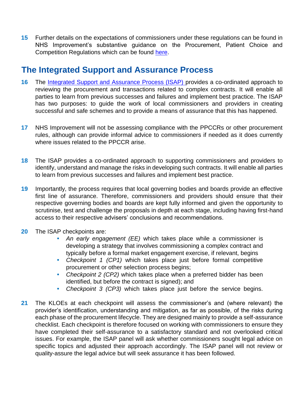**15** Further details on the expectations of commissioners under these regulations can be found in NHS Improvement's substantive guidance on the Procurement, Patient Choice and Competition Regulations which can be found [here.](https://www.gov.uk/government/uploads/system/uploads/attachment_data/file/283505/SubstantiveGuidanceDec2013_0.pdf)

# **The Integrated Support and Assurance Process**

- **16** The [Integrated Support and Assurance Process \(ISAP\)](https://www.england.nhs.uk/publication/integrated-support-and-assurance-process/) provides a co-ordinated approach to reviewing the procurement and transactions related to complex contracts. It will enable all parties to learn from previous successes and failures and implement best practice. The ISAP has two purposes: to guide the work of local commissioners and providers in creating successful and safe schemes and to provide a means of assurance that this has happened.
- **17** NHS Improvement will not be assessing compliance with the PPCCRs or other procurement rules, although can provide informal advice to commissioners if needed as it does currently where issues related to the PPCCR arise.
- **18** The ISAP provides a co-ordinated approach to supporting commissioners and providers to identify, understand and manage the risks in developing such contracts. It will enable all parties to learn from previous successes and failures and implement best practice.
- **19** Importantly, the process requires that local governing bodies and boards provide an effective first line of assurance. Therefore, commissioners and providers should ensure that their respective governing bodies and boards are kept fully informed and given the opportunity to scrutinise, test and challenge the proposals in depth at each stage, including having first-hand access to their respective advisers' conclusions and recommendations.
- **20** The ISAP checkpoints are:
	- **•** *An early engagement (EE)* which takes place while a commissioner is developing a strategy that involves commissioning a complex contract and typically before a formal market engagement exercise, if relevant, begins
	- **•** *Checkpoint 1 (CP1)* which takes place just before formal competitive procurement or other selection process begins;
	- **•** *Checkpoint 2 (CP2)* which takes place when a preferred bidder has been identified, but before the contract is signed); and
	- **•** *Checkpoint 3 (CP3)* which takes place just before the service begins.
- **21** The KLOEs at each checkpoint will assess the commissioner's and (where relevant) the provider's identification, understanding and mitigation, as far as possible, of the risks during each phase of the procurement lifecycle. They are designed mainly to provide a self-assurance checklist. Each checkpoint is therefore focused on working with commissioners to ensure they have completed their self-assurance to a satisfactory standard and not overlooked critical issues. For example, the ISAP panel will ask whether commissioners sought legal advice on specific topics and adjusted their approach accordingly. The ISAP panel will not review or quality-assure the legal advice but will seek assurance it has been followed.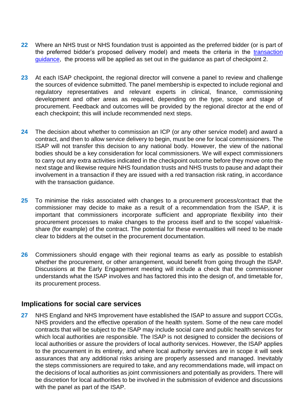- **22** Where an NHS trust or NHS foundation trust is appointed as the preferred bidder (or is part of the preferred bidder's proposed delivery model) and meets the criteria in the [transaction](https://improvement.nhs.uk/resources/supporting-nhs-providers-considering-transactions-and-mergers) [guidance,](https://improvement.nhs.uk/resources/supporting-nhs-providers-considering-transactions-and-mergers) the process will be applied as set out in the guidance as part of checkpoint 2.
- **23** At each ISAP checkpoint, the regional director will convene a panel to review and challenge the sources of evidence submitted. The panel membership is expected to include regional and regulatory representatives and relevant experts in clinical, finance, commissioning development and other areas as required, depending on the type, scope and stage of procurement. Feedback and outcomes will be provided by the regional director at the end of each checkpoint; this will include recommended next steps.
- **24** The decision about whether to commission an ICP (or any other service model) and award a contract, and then to allow service delivery to begin, must be one for local commissioners. The ISAP will not transfer this decision to any national body. However, the view of the national bodies should be a key consideration for local commissioners. We will expect commissioners to carry out any extra activities indicated in the checkpoint outcome before they move onto the next stage and likewise require NHS foundation trusts and NHS trusts to pause and adapt their involvement in a transaction if they are issued with a red transaction risk rating, in accordance with the transaction guidance.
- **25** To minimise the risks associated with changes to a procurement process/contract that the commissioner may decide to make as a result of a recommendation from the ISAP, it is important that commissioners incorporate sufficient and appropriate flexibility into their procurement processes to make changes to the process itself and to the scope/ value/riskshare (for example) of the contract. The potential for these eventualities will need to be made clear to bidders at the outset in the procurement documentation.
- **26** Commissioners should engage with their regional teams as early as possible to establish whether the procurement, or other arrangement, would benefit from going through the ISAP. Discussions at the Early Engagement meeting will include a check that the commissioner understands what the ISAP involves and has factored this into the design of, and timetable for, its procurement process.

#### **Implications for social care services**

**27** NHS England and NHS Improvement have established the ISAP to assure and support CCGs, NHS providers and the effective operation of the health system. Some of the new care model contracts that will be subject to the ISAP may include social care and public health services for which local authorities are responsible. The ISAP is not designed to consider the decisions of local authorities or assure the providers of local authority services. However, the ISAP applies to the procurement in its entirety, and where local authority services are in scope it will seek assurances that any additional risks arising are properly assessed and managed. Inevitably the steps commissioners are required to take, and any recommendations made, will impact on the decisions of local authorities as joint commissioners and potentially as providers. There will be discretion for local authorities to be involved in the submission of evidence and discussions with the panel as part of the ISAP.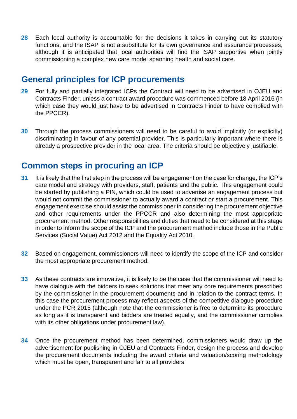**28** Each local authority is accountable for the decisions it takes in carrying out its statutory functions, and the ISAP is not a substitute for its own governance and assurance processes, although it is anticipated that local authorities will find the ISAP supportive when jointly commissioning a complex new care model spanning health and social care.

# **General principles for ICP procurements**

- **29** For fully and partially integrated ICPs the Contract will need to be advertised in OJEU and Contracts Finder, unless a contract award procedure was commenced before 18 April 2016 (in which case they would just have to be advertised in Contracts Finder to have complied with the PPCCR).
- **30** Through the process commissioners will need to be careful to avoid implicitly (or explicitly) discriminating in favour of any potential provider. This is particularly important where there is already a prospective provider in the local area. The criteria should be objectively justifiable.

# **Common steps in procuring an ICP**

- **31** It is likely that the first step in the process will be engagement on the case for change, the ICP's care model and strategy with providers, staff, patients and the public. This engagement could be started by publishing a PIN, which could be used to advertise an engagement process but would not commit the commissioner to actually award a contract or start a procurement. This engagement exercise should assist the commissioner in considering the procurement objective and other requirements under the PPCCR and also determining the most appropriate procurement method. Other responsibilities and duties that need to be considered at this stage in order to inform the scope of the ICP and the procurement method include those in the Public Services (Social Value) Act 2012 and the Equality Act 2010.
- **32** Based on engagement, commissioners will need to identify the scope of the ICP and consider the most appropriate procurement method.
- **33** As these contracts are innovative, it is likely to be the case that the commissioner will need to have dialogue with the bidders to seek solutions that meet any core requirements prescribed by the commissioner in the procurement documents and in relation to the contract terms. In this case the procurement process may reflect aspects of the competitive dialogue procedure under the PCR 2015 (although note that the commissioner is free to determine its procedure as long as it is transparent and bidders are treated equally, and the commissioner complies with its other obligations under procurement law).
- **34** Once the procurement method has been determined, commissioners would draw up the advertisement for publishing in OJEU and Contracts Finder, design the process and develop the procurement documents including the award criteria and valuation/scoring methodology which must be open, transparent and fair to all providers.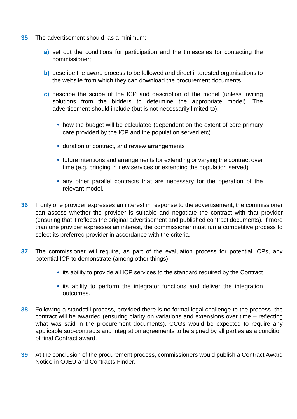- **35** The advertisement should, as a minimum:
	- **a)** set out the conditions for participation and the timescales for contacting the commissioner;
	- **b**) describe the award process to be followed and direct interested organisations to the website from which they can download the procurement documents
	- **c)** describe the scope of the ICP and description of the model (unless inviting solutions from the bidders to determine the appropriate model). The advertisement should include (but is not necessarily limited to):
		- **•** how the budget will be calculated (dependent on the extent of core primary care provided by the ICP and the population served etc)
		- **•** duration of contract, and review arrangements
		- **•** future intentions and arrangements for extending or varying the contract over time (e.g. bringing in new services or extending the population served)
		- **•** any other parallel contracts that are necessary for the operation of the relevant model.
- **36** If only one provider expresses an interest in response to the advertisement, the commissioner can assess whether the provider is suitable and negotiate the contract with that provider (ensuring that it reflects the original advertisement and published contract documents). If more than one provider expresses an interest, the commissioner must run a competitive process to select its preferred provider in accordance with the criteria.
- **37** The commissioner will require, as part of the evaluation process for potential ICPs, any potential ICP to demonstrate (among other things):
	- **•** its ability to provide all ICP services to the standard required by the Contract
	- **•** its ability to perform the integrator functions and deliver the integration outcomes.
- **38** Following a standstill process, provided there is no formal legal challenge to the process, the contract will be awarded (ensuring clarity on variations and extensions over time – reflecting what was said in the procurement documents). CCGs would be expected to require any applicable sub-contracts and integration agreements to be signed by all parties as a condition of final Contract award.
- **39** At the conclusion of the procurement process, commissioners would publish a Contract Award Notice in OJEU and Contracts Finder.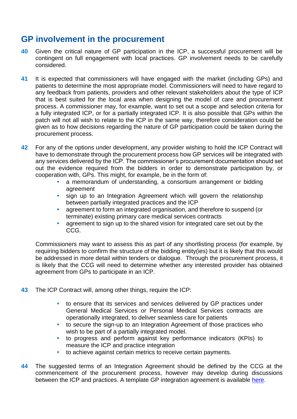# **GP involvement in the procurement**

- **40** Given the critical nature of GP participation in the ICP, a successful procurement will be contingent on full engagement with local practices. GP involvement needs to be carefully considered.
- **41** It is expected that commissioners will have engaged with the market (including GPs) and patients to determine the most appropriate model. Commissioners will need to have regard to any feedback from patients, providers and other relevant stakeholders about the type of ICP that is best suited for the local area when designing the model of care and procurement process. A commissioner may, for example, want to set out a scope and selection criteria for a fully integrated ICP, or for a partially integrated ICP. It is also possible that GPs within the patch will not all wish to relate to the ICP in the same way, therefore consideration could be given as to how decisions regarding the nature of GP participation could be taken during the procurement process.
- **42** For any of the options under development, any provider wishing to hold the ICP Contract will have to demonstrate through the procurement process how GP services will be integrated with any services delivered by the ICP. The commissioner's procurement documentation should set out the evidence required from the bidders in order to demonstrate participation by, or cooperation with, GPs. This might, for example, be in the form of:
	- **•** a memorandum of understanding, a consortium arrangement or bidding agreement
	- **•** sign up to an Integration Agreement which will govern the relationship between partially integrated practices and the ICP
	- **•** agreement to form an integrated organisation, and therefore to suspend (or terminate) existing primary care medical services contracts
	- **•** agreement to sign up to the shared vision for integrated care set out by the CCG.

Commissioners may want to assess this as part of any shortlisting process (for example, by requiring bidders to confirm the structure of the bidding entity(ies) but it is likely that this would be addressed in more detail within tenders or dialogue. Through the procurement process, it is likely that the CCG will need to determine whether any interested provider has obtained agreement from GPs to participate in an ICP.

- **43** The ICP Contract will, among other things, require the ICP:
	- **•** to ensure that its services and services delivered by GP practices under General Medical Services or Personal Medical Services contracts are operationally integrated, to deliver seamless care for patients
	- **•** to secure the sign-up to an Integration Agreement of those practices who wish to be part of a partially integrated model.
	- **•** to progress and perform against key performance indicators (KPIs) to measure the ICP and practice integration
	- **•** to achieve against certain metrics to receive certain payments.
- **44** The suggested terms of an Integration Agreement should be defined by the CCG at the commencement of the procurement process, however may develop during discussions between the ICP and practices. A template GP integration agreement is available [here.](https://www.england.nhs.uk/nhs-standard-contract/icp-contract-publications/)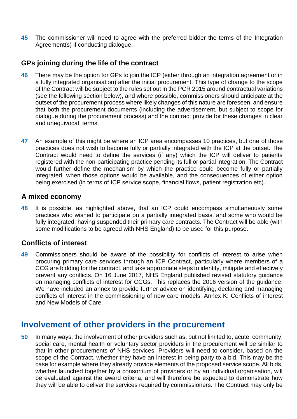**45** The commissioner will need to agree with the preferred bidder the terms of the Integration Agreement(s) if conducting dialogue.

### **GPs joining during the life of the contract**

- **46** There may be the option for GPs to join the ICP (either through an integration agreement or in a fully integrated organisation) after the initial procurement. This type of change to the scope of the Contract will be subject to the rules set out in the PCR 2015 around contractual variations (see the following section below), and where possible, commissioners should anticipate at the outset of the procurement process where likely changes of this nature are foreseen, and ensure that both the procurement documents (including the advertisement, but subject to scope for dialogue during the procurement process) and the contract provide for these changes in clear and unequivocal terms.
- **47** An example of this might be where an ICP area encompasses 10 practices, but one of those practices does not wish to become fully or partially integrated with the ICP at the outset. The Contract would need to define the services (if any) which the ICP will deliver to patients registered with the non-participating practice pending its full or partial integration. The Contract would further define the mechanism by which the practice could become fully or partially integrated, when those options would be available, and the consequences of either option being exercised (in terms of ICP service scope, financial flows, patient registration etc).

### **A mixed economy**

**48** It is possible, as highlighted above, that an ICP could encompass simultaneously some practices who wished to participate on a partially integrated basis, and some who would be fully integrated, having suspended their primary care contracts. The Contract will be able (with some modifications to be agreed with NHS England) to be used for this purpose.

### **Conflicts of interest**

**49** Commissioners should be aware of the possibility for conflicts of interest to arise when procuring primary care services through an ICP Contract, particularly where members of a CCG are bidding for the contract, and take appropriate steps to identify, mitigate and effectively prevent any conflicts. On 16 June 2017, NHS England published revised [statutory guidance](https://www.england.nhs.uk/publication/managing-conflicts-of-interest-revised-statutory-guidance-for-ccgs-2017/)  [on managing conflicts of interest for CCGs.](https://www.england.nhs.uk/publication/managing-conflicts-of-interest-revised-statutory-guidance-for-ccgs-2017/) This replaces the 2016 version of the guidance. We have included an annex to provide further advice on identifying, declaring and managing conflicts of interest in the commissioning of new care models: Annex K: Conflicts of interest and New Models of Care.

### **Involvement of other providers in the procurement**

**50** In many ways, the involvement of other providers such as, but not limited to, acute, community, social care, mental health or voluntary sector providers in the procurement will be similar to that in other procurements of NHS services. Providers will need to consider, based on the scope of the Contract, whether they have an interest in being party to a bid. This may be the case for example where they already provide elements of the proposed service scope. All bids, whether launched together by a consortium of providers or by an individual organisation, will be evaluated against the award criteria, and will therefore be expected to demonstrate how they will be able to deliver the services required by commissioners. The Contract may only be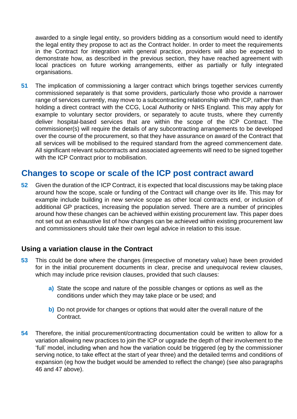awarded to a single legal entity, so providers bidding as a consortium would need to identify the legal entity they propose to act as the Contract holder. In order to meet the requirements in the Contract for integration with general practice, providers will also be expected to demonstrate how, as described in the previous section, they have reached agreement with local practices on future working arrangements, either as partially or fully integrated organisations.

**51** The implication of commissioning a larger contract which brings together services currently commissioned separately is that some providers, particularly those who provide a narrower range of services currently, may move to a subcontracting relationship with the ICP, rather than holding a direct contract with the CCG, Local Authority or NHS England. This may apply for example to voluntary sector providers, or separately to acute trusts, where they currently deliver hospital-based services that are within the scope of the ICP Contract. The commissioner(s) will require the details of any subcontracting arrangements to be developed over the course of the procurement, so that they have assurance on award of the Contract that all services will be mobilised to the required standard from the agreed commencement date. All significant relevant subcontracts and associated agreements will need to be signed together with the ICP Contract prior to mobilisation.

### **Changes to scope or scale of the ICP post contract award**

**52** Given the duration of the ICP Contract, it is expected that local discussions may be taking place around how the scope, scale or funding of the Contract will change over its life. This may for example include building in new service scope as other local contracts end, or inclusion of additional GP practices, increasing the population served. There are a number of principles around how these changes can be achieved within existing procurement law. This paper does not set out an exhaustive list of how changes can be achieved within existing procurement law and commissioners should take their own legal advice in relation to this issue.

### **Using a variation clause in the Contract**

- **53** This could be done where the changes (irrespective of monetary value) have been provided for in the initial procurement documents in clear, precise and unequivocal review clauses, which may include price revision clauses, provided that such clauses:
	- **a)** State the scope and nature of the possible changes or options as well as the conditions under which they may take place or be used; and
	- **b)** Do not provide for changes or options that would alter the overall nature of the Contract.
- **54** Therefore, the initial procurement/contracting documentation could be written to allow for a variation allowing new practices to join the ICP or upgrade the depth of their involvement to the 'full' model, including when and how the variation could be triggered (eg by the commissioner serving notice, to take effect at the start of year three) and the detailed terms and conditions of expansion (eg how the budget would be amended to reflect the change) (see also paragraphs 46 and 47 above).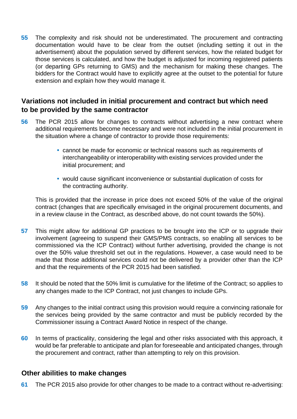**55** The complexity and risk should not be underestimated. The procurement and contracting documentation would have to be clear from the outset (including setting it out in the advertisement) about the population served by different services, how the related budget for those services is calculated, and how the budget is adjusted for incoming registered patients (or departing GPs returning to GMS) and the mechanism for making these changes. The bidders for the Contract would have to explicitly agree at the outset to the potential for future extension and explain how they would manage it.

### **Variations not included in initial procurement and contract but which need to be provided by the same contractor**

- **56** The PCR 2015 allow for changes to contracts without advertising a new contract where additional requirements become necessary and were not included in the initial procurement in the situation where a change of contractor to provide those requirements:
	- **•** cannot be made for economic or technical reasons such as requirements of interchangeability or interoperability with existing services provided under the initial procurement; and
	- **•** would cause significant inconvenience or substantial duplication of costs for the contracting authority.

This is provided that the increase in price does not exceed 50% of the value of the original contract (changes that are specifically envisaged in the original procurement documents, and in a review clause in the Contract, as described above, do not count towards the 50%).

- **57** This might allow for additional GP practices to be brought into the ICP or to upgrade their involvement (agreeing to suspend their GMS/PMS contracts, so enabling all services to be commissioned via the ICP Contract) without further advertising, provided the change is not over the 50% value threshold set out in the regulations. However, a case would need to be made that those additional services could not be delivered by a provider other than the ICP and that the requirements of the PCR 2015 had been satisfied.
- **58** It should be noted that the 50% limit is cumulative for the lifetime of the Contract; so applies to any changes made to the ICP Contract, not just changes to include GPs.
- **59** Any changes to the initial contract using this provision would require a convincing rationale for the services being provided by the same contractor and must be publicly recorded by the Commissioner issuing a Contract Award Notice in respect of the change.
- **60** In terms of practicality, considering the legal and other risks associated with this approach, it would be far preferable to anticipate and plan for foreseeable and anticipated changes, through the procurement and contract, rather than attempting to rely on this provision.

### **Other abilities to make changes**

**61** The PCR 2015 also provide for other changes to be made to a contract without re-advertising: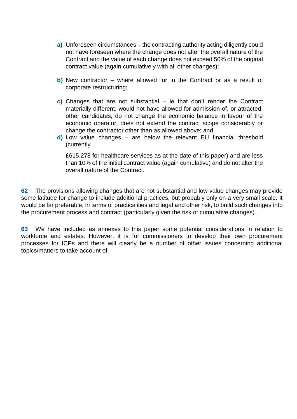- **a)** Unforeseen circumstances the contracting authority acting diligently could not have foreseen where the change does not alter the overall nature of the Contract and the value of each change does not exceed 50% of the original contract value (again cumulatively with all other changes);
- **b)** New contractor where allowed for in the Contract or as a result of corporate restructuring;
- **c)** Changes that are not substantial ie that don't render the Contract materially different, would not have allowed for admission of, or attracted, other candidates, do not change the economic balance in favour of the economic operator, does not extend the contract scope considerably or change the contractor other than as allowed above; and
- **d)** Low value changes are below the relevant EU financial threshold (currently

£615,278 for healthcare services as at the date of this paper) and are less than 10% of the initial contract value (again cumulative) and do not alter the overall nature of the Contract.

**62** The provisions allowing changes that are not substantial and low value changes may provide some latitude for change to include additional practices, but probably only on a very small scale. It would be far preferable, in terms of practicalities and legal and other risk, to build such changes into the procurement process and contract (particularly given the risk of cumulative changes).

**63** We have included as annexes to this paper some potential considerations in relation to workforce and estates. However, it is for commissioners to develop their own procurement processes for ICPs and there will clearly be a number of other issues concerning additional topics/matters to take account of.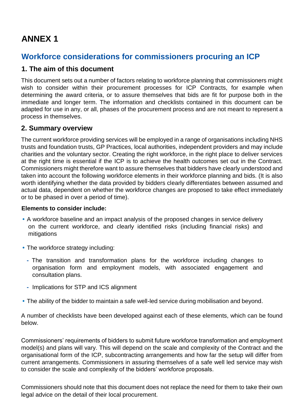# **ANNEX 1**

# **Workforce considerations for commissioners procuring an ICP**

### **1. The aim of this document**

This document sets out a number of factors relating to workforce planning that commissioners might wish to consider within their procurement processes for ICP Contracts, for example when determining the award criteria, or to assure themselves that bids are fit for purpose both in the immediate and longer term. The information and checklists contained in this document can be adapted for use in any, or all, phases of the procurement process and are not meant to represent a process in themselves.

### **2. Summary overview**

The current workforce providing services will be employed in a range of organisations including NHS trusts and foundation trusts, GP Practices, local authorities, independent providers and may include charities and the voluntary sector. Creating the right workforce, in the right place to deliver services at the right time is essential if the ICP is to achieve the health outcomes set out in the Contract. Commissioners might therefore want to assure themselves that bidders have clearly understood and taken into account the following workforce elements in their workforce planning and bids. (It is also worth identifying whether the data provided by bidders clearly differentiates between assumed and actual data, dependent on whether the workforce changes are proposed to take effect immediately or to be phased in over a period of time).

#### **Elements to consider include:**

- **•** A workforce baseline and an impact analysis of the proposed changes in service delivery on the current workforce, and clearly identified risks (including financial risks) and mitigations
- **•** The workforce strategy including:
	- **-** The transition and transformation plans for the workforce including changes to organisation form and employment models, with associated engagement and consultation plans.
	- **-** Implications for STP and ICS alignment
- **•** The ability of the bidder to maintain a safe well-led service during mobilisation and beyond.

A number of checklists have been developed against each of these elements, which can be found below.

Commissioners' requirements of bidders to submit future workforce transformation and employment model(s) and plans will vary. This will depend on the scale and complexity of the Contract and the organisational form of the ICP, subcontracting arrangements and how far the setup will differ from current arrangements. Commissioners in assuring themselves of a safe well led service may wish to consider the scale and complexity of the bidders' workforce proposals.

Commissioners should note that this document does not replace the need for them to take their own legal advice on the detail of their local procurement.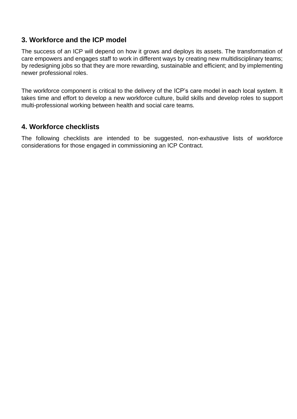### **3. Workforce and the ICP model**

The success of an ICP will depend on how it grows and deploys its assets. The transformation of care empowers and engages staff to work in different ways by creating new multidisciplinary teams; by redesigning jobs so that they are more rewarding, sustainable and efficient; and by implementing newer professional roles.

The workforce component is critical to the delivery of the ICP's care model in each local system. It takes time and effort to develop a new workforce culture, build skills and develop roles to support multi-professional working between health and social care teams.

### **4. Workforce checklists**

The following checklists are intended to be suggested, non-exhaustive lists of workforce considerations for those engaged in commissioning an ICP Contract.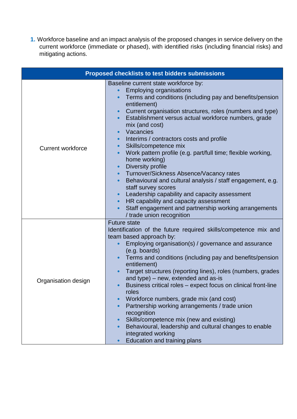**1.** Workforce baseline and an impact analysis of the proposed changes in service delivery on the current workforce (immediate or phased), with identified risks (including financial risks) and mitigating actions.

| <b>Proposed checklists to test bidders submissions</b> |                                                                                                                                                                                                                                                                                                                                                                                                                                                                                                                                                                                                                                                                                                                                                                                                                                                                                                                                                  |  |  |
|--------------------------------------------------------|--------------------------------------------------------------------------------------------------------------------------------------------------------------------------------------------------------------------------------------------------------------------------------------------------------------------------------------------------------------------------------------------------------------------------------------------------------------------------------------------------------------------------------------------------------------------------------------------------------------------------------------------------------------------------------------------------------------------------------------------------------------------------------------------------------------------------------------------------------------------------------------------------------------------------------------------------|--|--|
| <b>Current workforce</b>                               | Baseline current state workforce by:<br><b>Employing organisations</b><br>Terms and conditions (including pay and benefits/pension<br>$\bullet$<br>entitlement)<br>Current organisation structures, roles (numbers and type)<br>$\bullet$<br>Establishment versus actual workforce numbers, grade<br>$\bullet$<br>mix (and cost)<br>Vacancies<br>Interims / contractors costs and profile<br>$\bullet$<br>Skills/competence mix<br>$\bullet$<br>Work pattern profile (e.g. part/full time; flexible working,<br>$\bullet$<br>home working)<br>Diversity profile<br>$\bullet$<br>Turnover/Sickness Absence/Vacancy rates<br>$\bullet$<br>Behavioural and cultural analysis / staff engagement, e.g.<br>$\bullet$<br>staff survey scores<br>Leadership capability and capacity assessment<br>$\bullet$<br>HR capability and capacity assessment<br>$\bullet$<br>Staff engagement and partnership working arrangements<br>/ trade union recognition |  |  |
| Organisation design                                    | <b>Future state</b><br>Identification of the future required skills/competence mix and<br>team based approach by:<br>Employing organisation(s) / governance and assurance<br>(e.g. boards)<br>Terms and conditions (including pay and benefits/pension<br>$\bullet$<br>entitlement)<br>Target structures (reporting lines), roles (numbers, grades<br>$\bullet$<br>and type) – new, extended and as-is<br>Business critical roles – expect focus on clinical front-line<br>$\bullet$<br>roles<br>Workforce numbers, grade mix (and cost)<br>Partnership working arrangements / trade union<br>recognition<br>Skills/competence mix (new and existing)<br>Behavioural, leadership and cultural changes to enable<br>$\bullet$<br>integrated working<br>Education and training plans                                                                                                                                                               |  |  |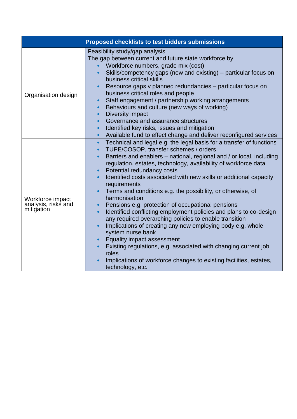| <b>Proposed checklists to test bidders submissions</b> |                                                                                                                                                                                                                                                                                                                                                                                                                                                                                                                                                                                                                                                                                                                                                                                                                                                                                                                                                                                                                                                                           |  |  |
|--------------------------------------------------------|---------------------------------------------------------------------------------------------------------------------------------------------------------------------------------------------------------------------------------------------------------------------------------------------------------------------------------------------------------------------------------------------------------------------------------------------------------------------------------------------------------------------------------------------------------------------------------------------------------------------------------------------------------------------------------------------------------------------------------------------------------------------------------------------------------------------------------------------------------------------------------------------------------------------------------------------------------------------------------------------------------------------------------------------------------------------------|--|--|
| Organisation design                                    | Feasibility study/gap analysis<br>The gap between current and future state workforce by:<br>Workforce numbers, grade mix (cost)<br>Skills/competency gaps (new and existing) – particular focus on<br>$\bullet$<br>business critical skills<br>Resource gaps v planned redundancies - particular focus on<br>$\bullet$<br>business critical roles and people<br>Staff engagement / partnership working arrangements<br>$\bullet$<br>Behaviours and culture (new ways of working)<br>$\bullet$<br>Diversity impact<br>$\bullet$<br>Governance and assurance structures<br>$\bullet$<br>Identified key risks, issues and mitigation<br>$\bullet$<br>Available fund to effect change and deliver reconfigured services<br>$\bullet$                                                                                                                                                                                                                                                                                                                                          |  |  |
| Workforce impact<br>analysis, risks and<br>mitigation  | Technical and legal e.g. the legal basis for a transfer of functions<br>$\bullet$<br>TUPE/COSOP, transfer schemes / orders<br>$\bullet$<br>Barriers and enablers – national, regional and / or local, including<br>$\bullet$<br>regulation, estates, technology, availability of workforce data<br>Potential redundancy costs<br>$\bullet$<br>Identified costs associated with new skills or additional capacity<br>$\bullet$<br>requirements<br>Terms and conditions e.g. the possibility, or otherwise, of<br>$\bullet$<br>harmonisation<br>Pensions e.g. protection of occupational pensions<br>$\bullet$<br>Identified conflicting employment policies and plans to co-design<br>$\bullet$<br>any required overarching policies to enable transition<br>Implications of creating any new employing body e.g. whole<br>$\bullet$<br>system nurse bank<br>Equality impact assessment<br>$\bullet$<br>Existing regulations, e.g. associated with changing current job<br>roles<br>Implications of workforce changes to existing facilities, estates,<br>technology, etc. |  |  |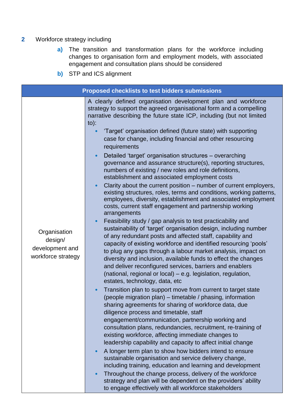#### **2** Workforce strategy including

- **a)** The transition and transformation plans for the workforce including changes to organisation form and employment models, with associated engagement and consultation plans should be considered
- **b)** STP and ICS alignment

| <b>Proposed checklists to test bidders submissions</b>           |                                                                                                                                                                                                                                                                                                                                                                                                                                                                                                                                                                                                                                                                                                                                                                                                                                                                                                                                                                                                                                                                                           |  |
|------------------------------------------------------------------|-------------------------------------------------------------------------------------------------------------------------------------------------------------------------------------------------------------------------------------------------------------------------------------------------------------------------------------------------------------------------------------------------------------------------------------------------------------------------------------------------------------------------------------------------------------------------------------------------------------------------------------------------------------------------------------------------------------------------------------------------------------------------------------------------------------------------------------------------------------------------------------------------------------------------------------------------------------------------------------------------------------------------------------------------------------------------------------------|--|
|                                                                  | A clearly defined organisation development plan and workforce<br>strategy to support the agreed organisational form and a compelling<br>narrative describing the future state ICP, including (but not limited<br>$to)$ :<br>'Target' organisation defined (future state) with supporting<br>$\bullet$<br>case for change, including financial and other resourcing<br>requirements<br>Detailed 'target' organisation structures - overarching<br>$\bullet$<br>governance and assurance structure(s), reporting structures,<br>numbers of existing / new roles and role definitions,<br>establishment and associated employment costs<br>Clarity about the current position – number of current employers,<br>$\bullet$<br>existing structures, roles, terms and conditions, working patterns,<br>employees, diversity, establishment and associated employment<br>costs, current staff engagement and partnership working<br>arrangements<br>Feasibility study / gap analysis to test practicability and<br>$\bullet$<br>sustainability of 'target' organisation design, including number |  |
| Organisation<br>design/<br>development and<br>workforce strategy | of any redundant posts and affected staff, capability and<br>capacity of existing workforce and identified resourcing 'pools'<br>to plug any gaps through a labour market analysis, impact on<br>diversity and inclusion, available funds to effect the changes<br>and deliver reconfigured services, barriers and enablers<br>(national, regional or local) - e.g. legislation, regulation,<br>estates, technology, data, etc<br>Transition plan to support move from current to target state<br>$\bullet$<br>(people migration plan) – timetable / phasing, information<br>sharing agreements for sharing of workforce data, due<br>diligence process and timetable, staff<br>engagement/communication, partnership working and<br>consultation plans, redundancies, recruitment, re-training of<br>existing workforce, affecting immediate changes to<br>leadership capability and capacity to affect initial change                                                                                                                                                                   |  |
|                                                                  | A longer term plan to show how bidders intend to ensure<br>$\bullet$<br>sustainable organisation and service delivery change,<br>including training, education and learning and development<br>Throughout the change process, delivery of the workforce<br>strategy and plan will be dependent on the providers' ability<br>to engage effectively with all workforce stakeholders                                                                                                                                                                                                                                                                                                                                                                                                                                                                                                                                                                                                                                                                                                         |  |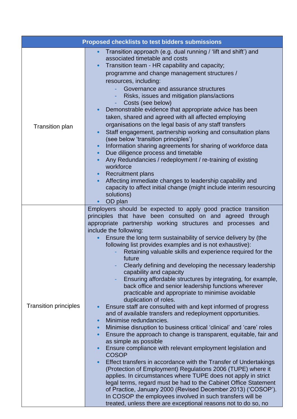| <b>Proposed checklists to test bidders submissions</b> |                                                                                                                                                                                                                                                                                                                                                                                                                                                                                                                                                                                                                                                                                                                                                                                                                                                                                                                                                                                                                                                                                                                                                                                                                                                                                                                                                                                                                                                                                                                                                                                                                                                                |  |  |
|--------------------------------------------------------|----------------------------------------------------------------------------------------------------------------------------------------------------------------------------------------------------------------------------------------------------------------------------------------------------------------------------------------------------------------------------------------------------------------------------------------------------------------------------------------------------------------------------------------------------------------------------------------------------------------------------------------------------------------------------------------------------------------------------------------------------------------------------------------------------------------------------------------------------------------------------------------------------------------------------------------------------------------------------------------------------------------------------------------------------------------------------------------------------------------------------------------------------------------------------------------------------------------------------------------------------------------------------------------------------------------------------------------------------------------------------------------------------------------------------------------------------------------------------------------------------------------------------------------------------------------------------------------------------------------------------------------------------------------|--|--|
| <b>Transition plan</b>                                 | Transition approach (e.g. dual running / 'lift and shift') and<br>$\bullet$<br>associated timetable and costs<br>Transition team - HR capability and capacity;<br>$\bullet$<br>programme and change management structures /<br>resources, including:<br>Governance and assurance structures<br>Risks, issues and mitigation plans/actions<br>÷<br>Costs (see below)<br>Demonstrable evidence that appropriate advice has been<br>taken, shared and agreed with all affected employing<br>organisations on the legal basis of any staff transfers<br>Staff engagement, partnership working and consultation plans<br>$\bullet$<br>(see below 'transition principles')<br>Information sharing agreements for sharing of workforce data<br>$\bullet$<br>Due diligence process and timetable<br>$\bullet$<br>Any Redundancies / redeployment / re-training of existing<br>$\bullet$<br>workforce<br><b>Recruitment plans</b><br>$\bullet$<br>Affecting immediate changes to leadership capability and<br>$\bullet$<br>capacity to affect initial change (might include interim resourcing<br>solutions)<br>OD plan<br>$\bullet$                                                                                                                                                                                                                                                                                                                                                                                                                                                                                                                                    |  |  |
| <b>Transition principles</b>                           | Employers should be expected to apply good practice transition<br>principles that have been consulted on and agreed through<br>appropriate partnership working structures and processes and<br>include the following:<br>Ensure the long term sustainability of service delivery by (the<br>following list provides examples and is not exhaustive):<br>Retaining valuable skills and experience required for the<br>future<br>Clearly defining and developing the necessary leadership<br>capability and capacity<br>Ensuring affordable structures by integrating, for example,<br>back office and senior leadership functions wherever<br>practicable and appropriate to minimise avoidable<br>duplication of roles.<br>Ensure staff are consulted with and kept informed of progress<br>and of available transfers and redeployment opportunities.<br>Minimise redundancies.<br>$\bullet$<br>Minimise disruption to business critical 'clinical' and 'care' roles<br>$\bullet$<br>Ensure the approach to change is transparent, equitable, fair and<br>$\bullet$<br>as simple as possible<br>Ensure compliance with relevant employment legislation and<br><b>COSOP</b><br>Effect transfers in accordance with the Transfer of Undertakings<br>$\bullet$<br>(Protection of Employment) Regulations 2006 (TUPE) where it<br>applies. In circumstances where TUPE does not apply in strict<br>legal terms, regard must be had to the Cabinet Office Statement<br>of Practice, January 2000 (Revised December 2013) ('COSOP').<br>In COSOP the employees involved in such transfers will be<br>treated, unless there are exceptional reasons not to do so, no |  |  |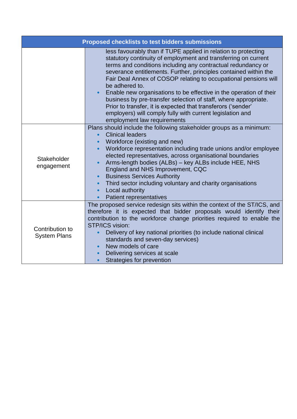| <b>Proposed checklists to test bidders submissions</b> |                                                                                                                                                                                                                                                                                                                                                                                                                                                                                                                                                                                                                                                                             |  |
|--------------------------------------------------------|-----------------------------------------------------------------------------------------------------------------------------------------------------------------------------------------------------------------------------------------------------------------------------------------------------------------------------------------------------------------------------------------------------------------------------------------------------------------------------------------------------------------------------------------------------------------------------------------------------------------------------------------------------------------------------|--|
|                                                        | less favourably than if TUPE applied in relation to protecting<br>statutory continuity of employment and transferring on current<br>terms and conditions including any contractual redundancy or<br>severance entitlements. Further, principles contained within the<br>Fair Deal Annex of COSOP relating to occupational pensions will<br>be adhered to.<br>Enable new organisations to be effective in the operation of their<br>$\bullet$<br>business by pre-transfer selection of staff, where appropriate.<br>Prior to transfer, it is expected that transferors ('sender'<br>employers) will comply fully with current legislation and<br>employment law requirements |  |
| Stakeholder<br>engagement                              | Plans should include the following stakeholder groups as a minimum:<br><b>Clinical leaders</b><br>$\bullet$<br>Workforce (existing and new)<br>Workforce representation including trade unions and/or employee<br>elected representatives, across organisational boundaries<br>Arms-length bodies (ALBs) - key ALBs include HEE, NHS<br>$\bullet$<br>England and NHS Improvement, CQC<br><b>Business Services Authority</b><br>$\bullet$<br>Third sector including voluntary and charity organisations<br>$\bullet$<br>Local authority<br>$\bullet$<br><b>Patient representatives</b>                                                                                       |  |
| Contribution to<br><b>System Plans</b>                 | The proposed service redesign sits within the context of the ST/ICS, and<br>therefore it is expected that bidder proposals would identify their<br>contribution to the workforce change priorities required to enable the<br>STP/ICS vision:<br>Delivery of key national priorities (to include national clinical<br>standards and seven-day services)<br>New models of care<br>$\bullet$<br>Delivering services at scale<br>Strategies for prevention<br>$\bullet$                                                                                                                                                                                                         |  |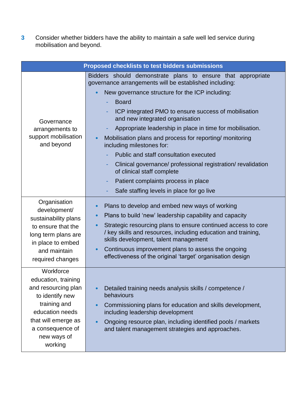**3** Consider whether bidders have the ability to maintain a safe well led service during mobilisation and beyond.

| <b>Proposed checklists to test bidders submissions</b>                                                                                                                             |                                                                                                                                                                                                                                                                                                                                                                                                                                                                                                                                                                                                                                                                                   |  |  |
|------------------------------------------------------------------------------------------------------------------------------------------------------------------------------------|-----------------------------------------------------------------------------------------------------------------------------------------------------------------------------------------------------------------------------------------------------------------------------------------------------------------------------------------------------------------------------------------------------------------------------------------------------------------------------------------------------------------------------------------------------------------------------------------------------------------------------------------------------------------------------------|--|--|
| Governance<br>arrangements to<br>support mobilisation<br>and beyond                                                                                                                | Bidders should demonstrate plans to ensure that appropriate<br>governance arrangements will be established including:<br>New governance structure for the ICP including:<br>$\bullet$<br><b>Board</b><br>ICP integrated PMO to ensure success of mobilisation<br>and new integrated organisation<br>Appropriate leadership in place in time for mobilisation.<br>Mobilisation plans and process for reporting/monitoring<br>including milestones for:<br>Public and staff consultation executed<br>Clinical governance/ professional registration/ revalidation<br>of clinical staff complete<br>Patient complaints process in place<br>Safe staffing levels in place for go live |  |  |
| Organisation<br>development/<br>sustainability plans<br>to ensure that the<br>long term plans are<br>in place to embed<br>and maintain<br>required changes                         | Plans to develop and embed new ways of working<br>$\bullet$<br>Plans to build 'new' leadership capability and capacity<br>$\bullet$<br>Strategic resourcing plans to ensure continued access to core<br>/ key skills and resources, including education and training,<br>skills development, talent management<br>Continuous improvement plans to assess the ongoing<br>$\bullet$<br>effectiveness of the original 'target' organisation design                                                                                                                                                                                                                                   |  |  |
| Workforce<br>education, training<br>and resourcing plan<br>to identify new<br>training and<br>education needs<br>that will emerge as<br>a consequence of<br>new ways of<br>working | Detailed training needs analysis skills / competence /<br>$\bullet$<br>behaviours<br>Commissioning plans for education and skills development,<br>$\bullet$<br>including leadership development<br>Ongoing resource plan, including identified pools / markets<br>$\bullet$<br>and talent management strategies and approaches.                                                                                                                                                                                                                                                                                                                                                   |  |  |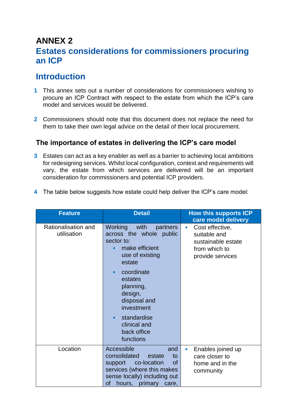# **ANNEX 2 Estates considerations for commissioners procuring an ICP**

# **Introduction**

- **1** This annex sets out a number of considerations for commissioners wishing to procure an ICP Contract with respect to the estate from which the ICP's care model and services would be delivered.
- **2** Commissioners should note that this document does not replace the need for them to take their own legal advice on the detail of their local procurement.

### **The importance of estates in delivering the ICP's care model**

- **3** Estates can act as a key enabler as well as a barrier to achieving local ambitions for redesigning services. Whilst local configuration, context and requirements will vary, the estate from which services are delivered will be an important consideration for commissioners and potential ICP providers.
- **4** The table below suggests how estate could help deliver the ICP's care model:

| <b>Feature</b>                     | <b>Detail</b>                                                                                                                                                                                                                                                                                               | <b>How this supports ICP</b><br>care model delivery                                                     |
|------------------------------------|-------------------------------------------------------------------------------------------------------------------------------------------------------------------------------------------------------------------------------------------------------------------------------------------------------------|---------------------------------------------------------------------------------------------------------|
| Rationalisation and<br>utilisation | <b>Working</b><br>with<br>partners<br>across the whole public<br>sector to:<br>make efficient<br>$\bullet$<br>use of existing<br>estate<br>coordinate<br>$\bullet$<br>estates<br>planning,<br>design,<br>disposal and<br>investment<br>standardise<br>$\bullet$<br>clinical and<br>back office<br>functions | Cost effective,<br>$\bullet$<br>suitable and<br>sustainable estate<br>from which to<br>provide services |
| Location                           | Accessible<br>and<br>consolidated<br>estate<br>to<br>co-location<br><b>of</b><br>support<br>services (where this makes<br>sense locally) including out<br>hours, primary<br>οf<br>care,                                                                                                                     | Enables joined up<br>$\bullet$<br>care closer to<br>home and in the<br>community                        |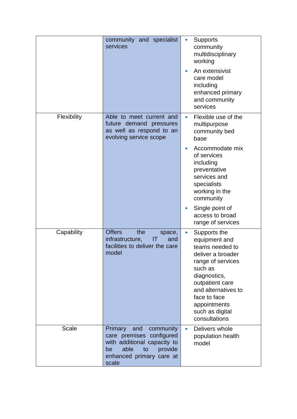|             | community and specialist<br>services                                                                                                                       |           | <b>Supports</b><br>community<br>multidisciplinary<br>working<br>An extensivist<br>care model<br>including<br>enhanced primary<br>and community<br>services                                                                          |
|-------------|------------------------------------------------------------------------------------------------------------------------------------------------------------|-----------|-------------------------------------------------------------------------------------------------------------------------------------------------------------------------------------------------------------------------------------|
| Flexibility | Able to meet current and<br>future demand pressures<br>as well as respond to an<br>evolving service scope                                                  | $\bullet$ | Flexible use of the<br>multipurpose<br>community bed<br>base                                                                                                                                                                        |
|             |                                                                                                                                                            |           | Accommodate mix<br>of services<br>including<br>preventative<br>services and<br>specialists<br>working in the<br>community                                                                                                           |
|             |                                                                                                                                                            |           | Single point of<br>access to broad<br>range of services                                                                                                                                                                             |
| Capability  | <b>Offers</b><br>the<br>space,<br>infrastructure,<br>$\mathsf{I}\mathsf{T}$<br>and<br>facilities to deliver the care<br>model                              | $\bullet$ | Supports the<br>equipment and<br>teams needed to<br>deliver a broader<br>range of services<br>such as<br>diagnostics,<br>outpatient care<br>and alternatives to<br>face to face<br>appointments<br>such as digital<br>consultations |
| Scale       | Primary<br>and<br>community<br>care premises configured<br>with additional capacity to<br>able<br>provide<br>to<br>be<br>enhanced primary care at<br>scale | $\bullet$ | Delivers whole<br>population health<br>model                                                                                                                                                                                        |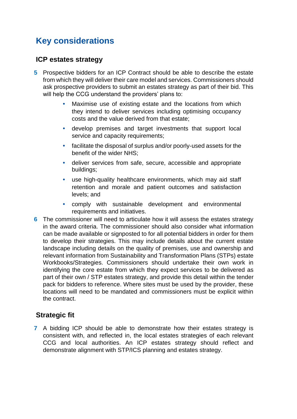# **Key considerations**

### **ICP estates strategy**

- **5** Prospective bidders for an ICP Contract should be able to describe the estate from which they will deliver their care model and services. Commissioners should ask prospective providers to submit an estates strategy as part of their bid. This will help the CCG understand the providers' plans to:
	- **•** Maximise use of existing estate and the locations from which they intend to deliver services including optimising occupancy costs and the value derived from that estate;
	- **•** develop premises and target investments that support local service and capacity requirements;
	- **•** facilitate the disposal of surplus and/or poorly-used assets for the benefit of the wider NHS;
	- **•** deliver services from safe, secure, accessible and appropriate buildings;
	- **•** use high-quality healthcare environments, which may aid staff retention and morale and patient outcomes and satisfaction levels; and
	- **•** comply with sustainable development and environmental requirements and initiatives.
- **6** The commissioner will need to articulate how it will assess the estates strategy in the award criteria. The commissioner should also consider what information can be made available or signposted to for all potential bidders in order for them to develop their strategies. This may include details about the current estate landscape including details on the quality of premises, use and ownership and relevant information from Sustainability and Transformation Plans (STPs) estate Workbooks/Strategies. Commissioners should undertake their own work in identifying the core estate from which they expect services to be delivered as part of their own / STP estates strategy, and provide this detail within the tender pack for bidders to reference. Where sites must be used by the provider, these locations will need to be mandated and commissioners must be explicit within the contract.

### **Strategic fit**

**7** A bidding ICP should be able to demonstrate how their estates strategy is consistent with, and reflected in, the local estates strategies of each relevant CCG and local authorities. An ICP estates strategy should reflect and demonstrate alignment with STP/ICS planning and estates strategy.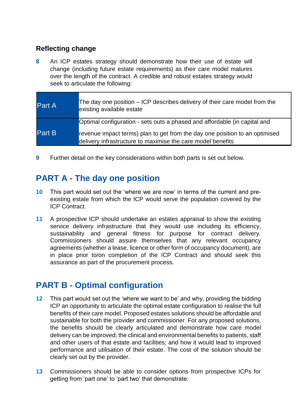### **Reflecting change**

**8** An ICP estates strategy should demonstrate how their use of estate will change (including future estate requirements) as their care model matures over the length of the contract. A credible and robust estates strategy would seek to articulate the following:

| Part A        | The day one position $-$ ICP describes delivery of their care model from the<br>existing available estate                                  |
|---------------|--------------------------------------------------------------------------------------------------------------------------------------------|
|               | Optimal configuration - sets outs a phased and affordable (in capital and                                                                  |
| <b>Part B</b> | revenue impact terms) plan to get from the day one position to an optimised<br>delivery infrastructure to maximise the care model benefits |

**9** Further detail on the key considerations within both parts is set out below.

# **PART A - The day one position**

- **10** This part would set out the 'where we are now' in terms of the current and preexisting estate from which the ICP would serve the population covered by the ICP Contract.
- **11** A prospective ICP should undertake an estates appraisal to show the existing service delivery infrastructure that they would use including its efficiency, sustainability and general fitness for purpose for contract delivery. Commissioners should assure themselves that any relevant occupancy agreements (whether a lease, licence or other form of occupancy document), are in place prior to/on completion of the ICP Contract and should seek this assurance as part of the procurement process.

# **PART B - Optimal configuration**

- **12** This part would set out the 'where we want to be' and why, providing the bidding ICP an opportunity to articulate the optimal estate configuration to realise the full benefits of their care model. Proposed estates solutions should be affordable and sustainable for both the provider and commissioner. For any proposed solutions, the benefits should be clearly articulated and demonstrate how care model delivery can be improved; the clinical and environmental benefits to patients, staff and other users of that estate and facilities; and how it would lead to improved performance and utilisation of their estate. The cost of the solution should be clearly set out by the provider.
- **13** Commissioners should be able to consider options from prospective ICPs for getting from 'part one' to 'part two' that demonstrate: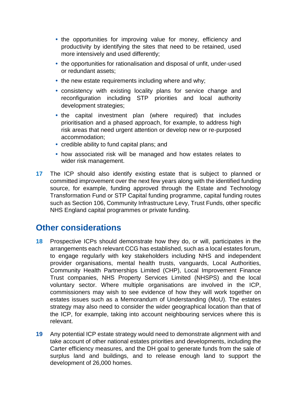- **•** the opportunities for improving value for money, efficiency and productivity by identifying the sites that need to be retained, used more intensively and used differently;
- **•** the opportunities for rationalisation and disposal of unfit, under-used or redundant assets;
- **•** the new estate requirements including where and why;
- **•** consistency with existing locality plans for service change and reconfiguration including STP priorities and local authority development strategies;
- **•** the capital investment plan (where required) that includes prioritisation and a phased approach, for example, to address high risk areas that need urgent attention or develop new or re-purposed accommodation;
- **•** credible ability to fund capital plans; and
- **•** how associated risk will be managed and how estates relates to wider risk management.
- **17** The ICP should also identify existing estate that is subject to planned or committed improvement over the next few years along with the identified funding source, for example, funding approved through the Estate and Technology Transformation Fund or STP Capital funding programme, capital funding routes such as Section 106, Community Infrastructure Levy, Trust Funds, other specific NHS England capital programmes or private funding.

# **Other considerations**

- **18** Prospective ICPs should demonstrate how they do, or will, participates in the arrangements each relevant CCG has established, such as a local estates forum, to engage regularly with key stakeholders including NHS and independent provider organisations, mental health trusts, vanguards, Local Authorities, Community Health Partnerships Limited (CHP), Local Improvement Finance Trust companies, NHS Property Services Limited (NHSPS) and the local voluntary sector. Where multiple organisations are involved in the ICP, commissioners may wish to see evidence of how they will work together on estates issues such as a Memorandum of Understanding (MoU). The estates strategy may also need to consider the wider geographical location than that of the ICP, for example, taking into account neighbouring services where this is relevant.
- **19** Any potential ICP estate strategy would need to demonstrate alignment with and take account of other national estates priorities and developments, including the Carter efficiency measures, and the DH goal to generate funds from the sale of surplus land and buildings, and to release enough land to support the development of 26,000 homes.